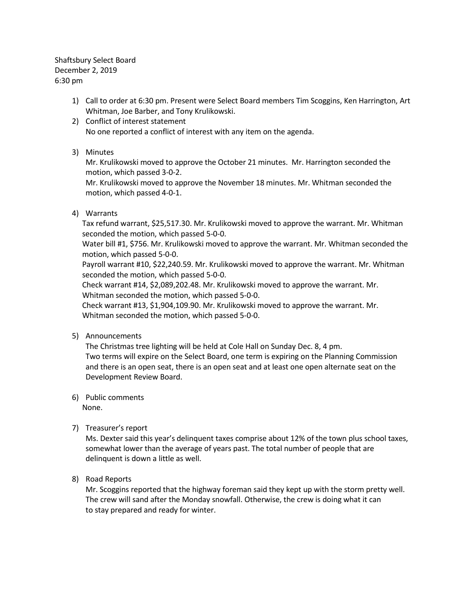Shaftsbury Select Board December 2, 2019 6:30 pm

- 1) Call to order at 6:30 pm. Present were Select Board members Tim Scoggins, Ken Harrington, Art Whitman, Joe Barber, and Tony Krulikowski.
- 2) Conflict of interest statement No one reported a conflict of interest with any item on the agenda.
- 3) Minutes

Mr. Krulikowski moved to approve the October 21 minutes. Mr. Harrington seconded the motion, which passed 3-0-2.

Mr. Krulikowski moved to approve the November 18 minutes. Mr. Whitman seconded the motion, which passed 4-0-1.

4) Warrants

Tax refund warrant, \$25,517.30. Mr. Krulikowski moved to approve the warrant. Mr. Whitman seconded the motion, which passed 5-0-0.

Water bill #1, \$756. Mr. Krulikowski moved to approve the warrant. Mr. Whitman seconded the motion, which passed 5-0-0.

Payroll warrant #10, \$22,240.59. Mr. Krulikowski moved to approve the warrant. Mr. Whitman seconded the motion, which passed 5-0-0.

Check warrant #14, \$2,089,202.48. Mr. Krulikowski moved to approve the warrant. Mr. Whitman seconded the motion, which passed 5-0-0.

Check warrant #13, \$1,904,109.90. Mr. Krulikowski moved to approve the warrant. Mr. Whitman seconded the motion, which passed 5-0-0.

5) Announcements

The Christmas tree lighting will be held at Cole Hall on Sunday Dec. 8, 4 pm. Two terms will expire on the Select Board, one term is expiring on the Planning Commission and there is an open seat, there is an open seat and at least one open alternate seat on the Development Review Board.

- 6) Public comments None.
- 7) Treasurer's report

Ms. Dexter said this year's delinquent taxes comprise about 12% of the town plus school taxes, somewhat lower than the average of years past. The total number of people that are delinquent is down a little as well.

8) Road Reports

Mr. Scoggins reported that the highway foreman said they kept up with the storm pretty well. The crew will sand after the Monday snowfall. Otherwise, the crew is doing what it can to stay prepared and ready for winter.